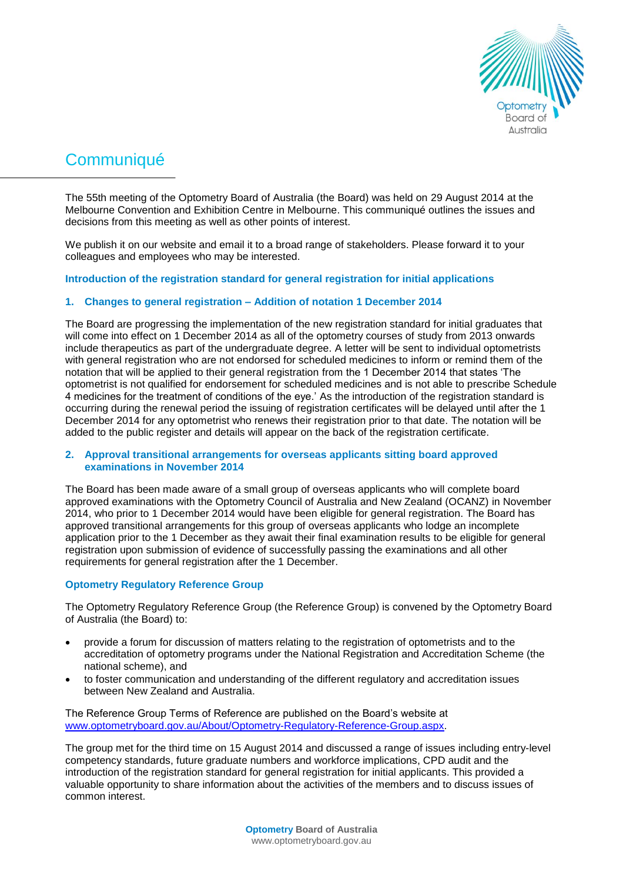

# **Communiqué**

The 55th meeting of the Optometry Board of Australia (the Board) was held on 29 August 2014 at the Melbourne Convention and Exhibition Centre in Melbourne. This communiqué outlines the issues and decisions from this meeting as well as other points of interest.

We publish it on our website and email it to a broad range of stakeholders. Please forward it to your colleagues and employees who may be interested.

# **Introduction of the registration standard for general registration for initial applications**

# **1. Changes to general registration – Addition of notation 1 December 2014**

The Board are progressing the implementation of the new registration standard for initial graduates that will come into effect on 1 December 2014 as all of the optometry courses of study from 2013 onwards include therapeutics as part of the undergraduate degree. A letter will be sent to individual optometrists with general registration who are not endorsed for scheduled medicines to inform or remind them of the notation that will be applied to their general registration from the 1 December 2014 that states 'The optometrist is not qualified for endorsement for scheduled medicines and is not able to prescribe Schedule 4 medicines for the treatment of conditions of the eye.' As the introduction of the registration standard is occurring during the renewal period the issuing of registration certificates will be delayed until after the 1 December 2014 for any optometrist who renews their registration prior to that date. The notation will be added to the public register and details will appear on the back of the registration certificate.

# **2. Approval transitional arrangements for overseas applicants sitting board approved examinations in November 2014**

The Board has been made aware of a small group of overseas applicants who will complete board approved examinations with the Optometry Council of Australia and New Zealand (OCANZ) in November 2014, who prior to 1 December 2014 would have been eligible for general registration. The Board has approved transitional arrangements for this group of overseas applicants who lodge an incomplete application prior to the 1 December as they await their final examination results to be eligible for general registration upon submission of evidence of successfully passing the examinations and all other requirements for general registration after the 1 December.

# **Optometry Regulatory Reference Group**

The Optometry Regulatory Reference Group (the Reference Group) is convened by the Optometry Board of Australia (the Board) to:

- provide a forum for discussion of matters relating to the registration of optometrists and to the accreditation of optometry programs under the National Registration and Accreditation Scheme (the national scheme), and
- to foster communication and understanding of the different regulatory and accreditation issues between New Zealand and Australia.

The Reference Group Terms of Reference are published on the Board's website at [www.optometryboard.gov.au/About/Optometry-Regulatory-Reference-Group.aspx.](http://www.optometryboard.gov.au/About/Optometry-Regulatory-Reference-Group.aspx)

The group met for the third time on 15 August 2014 and discussed a range of issues including entry-level competency standards, future graduate numbers and workforce implications, CPD audit and the introduction of the registration standard for general registration for initial applicants. This provided a valuable opportunity to share information about the activities of the members and to discuss issues of common interest.